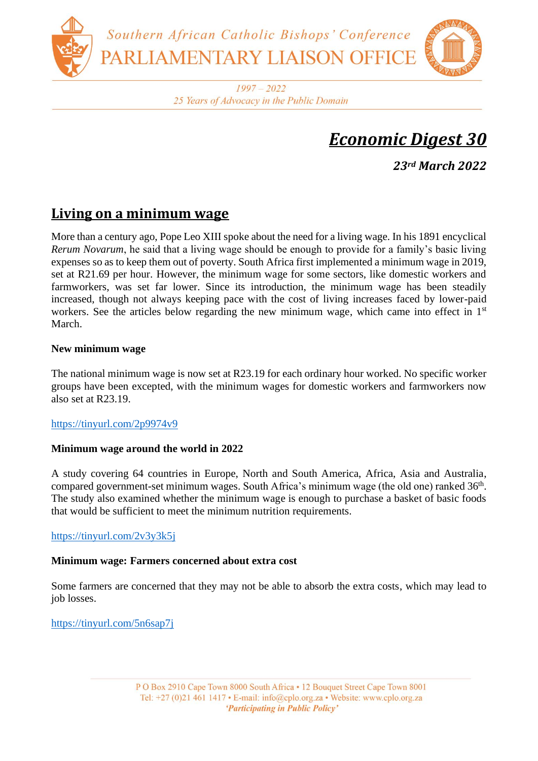

 $1997 - 2022$ 25 Years of Advocacy in the Public Domain

# *Economic Digest 30*

*23rd March 2022*

# **Living on a minimum wage**

More than a century ago, Pope Leo XIII spoke about the need for a living wage. In his 1891 encyclical *Rerum Novarum*, he said that a living wage should be enough to provide for a family's basic living expenses so as to keep them out of poverty. South Africa first implemented a minimum wage in 2019, set at R21.69 per hour. However, the minimum wage for some sectors, like domestic workers and farmworkers, was set far lower. Since its introduction, the minimum wage has been steadily increased, though not always keeping pace with the cost of living increases faced by lower-paid workers. See the articles below regarding the new minimum wage, which came into effect in 1<sup>st</sup> March.

### **New minimum wage**

The national minimum wage is now set at R23.19 for each ordinary hour worked. No specific worker groups have been excepted, with the minimum wages for domestic workers and farmworkers now also set at R23.19.

#### <https://tinyurl.com/2p9974v9>

# **Minimum wage around the world in 2022**

A study covering 64 countries in Europe, North and South America, Africa, Asia and Australia, compared government-set minimum wages. South Africa's minimum wage (the old one) ranked 36<sup>th</sup>. The study also examined whether the minimum wage is enough to purchase a basket of basic foods that would be sufficient to meet the minimum nutrition requirements.

# <https://tinyurl.com/2v3y3k5j>

#### **Minimum wage: Farmers concerned about extra cost**

Some farmers are concerned that they may not be able to absorb the extra costs, which may lead to job losses.

<https://tinyurl.com/5n6sap7j>